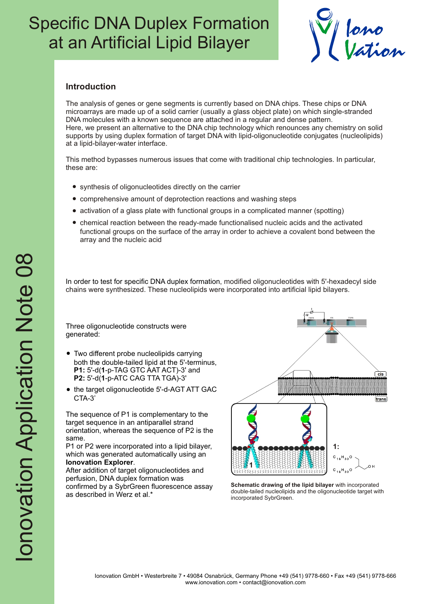## Specific DNA Duplex Formation at an Artificial Lipid Bilayer



### **Introduction**

The analysis of genes or gene segments is currently based on DNA chips. These chips or DNA microarrays are made up of a solid carrier (usually a glass object plate) on which single-stranded DNA molecules with a known sequence are attached in a regular and dense pattern. Here, we present an alternative to the DNA chip technology which renounces any chemistry on solid supports by using duplex formation of target DNA with lipid-oligonucleotide conjugates (nucleolipids) at a lipid-bilayer-water interface.

This method bypasses numerous issues that come with traditional chip technologies. In particular, these are:

- synthesis of oligonucleotides directly on the carrier
- comprehensive amount of deprotection reactions and washing steps
- activation of a glass plate with functional groups in a complicated manner (spotting)
- chemical reaction between the ready-made functionalised nucleic acids and the activated functional groups on the surface of the array in order to achieve a covalent bond between the array and the nucleic acid

In order to test for specific DNA duplex formation, modified oligonucleotides with 5'-hexadecyl side chains were synthesized. These nucleolipids were incorporated into artificial lipid bilayers.

Three oligonucleotide constructs were generated:

- Two different probe nucleolipids carrying both the double-tailed lipid at the 5'-terminus, **P1:** 5'-d(**1**-p-TAG GTC AAT ACT)-3' and **P2:** 5'-d(**1**-p-ATC CAG TTA TGA)-3'
- the target oligonucleotide 5'-d-AGT ATT GAC CTA-3'

The sequence of P1 is complementary to the target sequence in an antiparallel strand orientation, whereas the sequence of P2 is the same.

P1 or P2 were incorporated into a lipid bilayer, which was generated automatically using an **Ionovation Explorer**.

After addition of target oligonucleotides and perfusion, DNA duplex formation was confirmed by a SybrGreen fluorescence assay as described in Werz et al.\*



**Schematic drawing of the lipid bilayer** with incorporated double-tailed nucleolipids and the oligonucleotide target with incorporated SybrGreen.